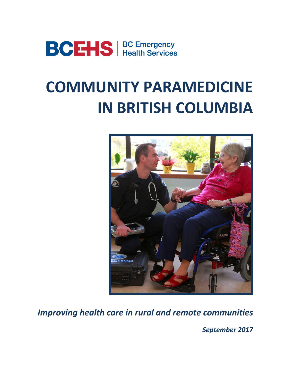

# **COMMUNITY PARAMEDICINE IN BRITISH COLUMBIA**



*Improving health care in rural and remote communities*

*September 2017*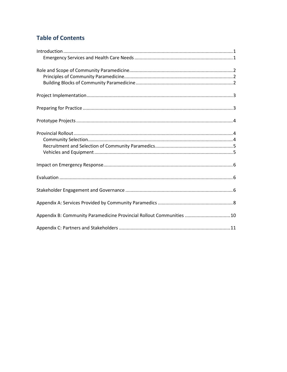# **Table of Contents**

| Appendix B: Community Paramedicine Provincial Rollout Communities  10 |
|-----------------------------------------------------------------------|
|                                                                       |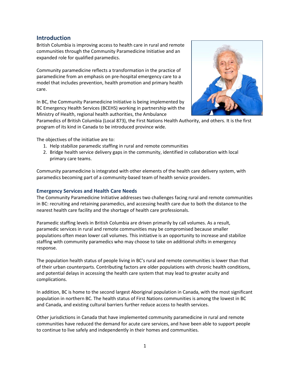## **Introduction**

British Columbia is improving access to health care in rural and remote communities through the Community Paramedicine Initiative and an expanded role for qualified paramedics.

Community paramedicine reflects a transformation in the practice of paramedicine from an emphasis on pre-hospital emergency care to a model that includes prevention, health promotion and primary health care.

In BC, the Community Paramedicine Initiative is being implemented by BC Emergency Health Services (BCEHS) working in partnership with the Ministry of Health, regional health authorities, the Ambulance



Paramedics of British Columbia (Local 873), the First Nations Health Authority, and others. It is the first program of its kind in Canada to be introduced province wide.

The objectives of the initiative are to:

- 1. Help stabilize paramedic staffing in rural and remote communities
- 2. Bridge health service delivery gaps in the community, identified in collaboration with local primary care teams.

Community paramedicine is integrated with other elements of the health care delivery system, with paramedics becoming part of a community-based team of health service providers.

### **Emergency Services and Health Care Needs**

The Community Paramedicine Initiative addresses two challenges facing rural and remote communities in BC: recruiting and retaining paramedics, and accessing health care due to both the distance to the nearest health care facility and the shortage of health care professionals.

Paramedic staffing levels in British Columbia are driven primarily by call volumes. As a result, paramedic services in rural and remote communities may be compromised because smaller populations often mean lower call volumes. This initiative is an opportunity to increase and stabilize staffing with community paramedics who may choose to take on additional shifts in emergency response.

The population health status of people living in BC's rural and remote communities is lower than that of their urban counterparts. Contributing factors are older populations with chronic health conditions, and potential delays in accessing the health care system that may lead to greater acuity and complications.

In addition, BC is home to the second largest Aboriginal population in Canada, with the most significant population in northern BC. The health status of First Nations communities is among the lowest in BC and Canada, and existing cultural barriers further reduce access to health services.

Other jurisdictions in Canada that have implemented community paramedicine in rural and remote communities have reduced the demand for acute care services, and have been able to support people to continue to live safely and independently in their homes and communities.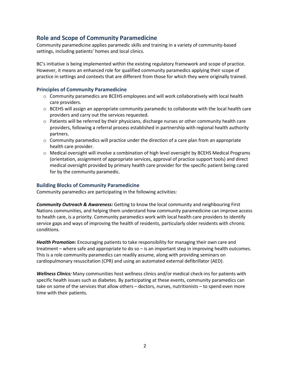## **Role and Scope of Community Paramedicine**

Community paramedicine applies paramedic skills and training in a variety of community-based settings, including patients' homes and local clinics.

BC's initiative is being implemented within the existing regulatory framework and scope of practice. However, it means an enhanced role for qualified community paramedics applying their scope of practice in settings and contexts that are different from those for which they were originally trained.

### **Principles of Community Paramedicine**

- $\circ$  Community paramedics are BCEHS employees and will work collaboratively with local health care providers.
- $\circ$  BCEHS will assign an appropriate community paramedic to collaborate with the local health care providers and carry out the services requested.
- o Patients will be referred by their physicians, discharge nurses or other community health care providers, following a referral process established in partnership with regional health authority partners.
- $\circ$  Community paramedics will practice under the direction of a care plan from an appropriate health care provider.
- o Medical oversight will involve a combination of high level oversight by BCEHS Medical Programs (orientation, assignment of appropriate services, approval of practice support tools) and direct medical oversight provided by primary health care provider for the specific patient being cared for by the community paramedic.

#### **Building Blocks of Community Paramedicine**

Community paramedics are participating in the following activities:

*Community Outreach & Awareness:* Getting to know the local community and neighbouring First Nations communities, and helping them understand how community paramedicine can improve access to health care, is a priority. Community paramedics work with local health care providers to identify service gaps and ways of improving the health of residents, particularly older residents with chronic conditions.

*Health Promotion:* Encouraging patients to take responsibility for managing their own care and treatment – where safe and appropriate to do so – is an important step in improving health outcomes. This is a role community paramedics can readily assume, along with providing seminars on cardiopulmonary resuscitation (CPR) and using an automated external defibrillator (AED).

*Wellness Clinics:* Many communities host wellness clinics and/or medical check-ins for patients with specific health issues such as diabetes. By participating at these events, community paramedics can take on some of the services that allow others – doctors, nurses, nutritionists – to spend even more time with their patients.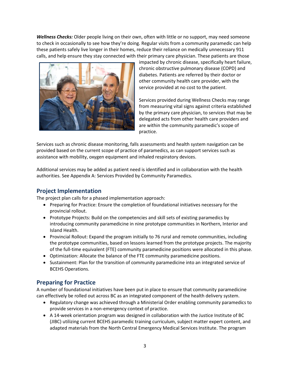*Wellness Checks:* Older people living on their own, often with little or no support, may need someone to check in occasionally to see how they're doing. Regular visits from a community paramedic can help these patients safely live longer in their homes, reduce their reliance on medically unnecessary 911 calls, and help ensure they stay connected with their primary care physician. These patients are those



impacted by chronic disease, specifically heart failure, chronic obstructive pulmonary disease (COPD) and diabetes. Patients are referred by their doctor or other community health care provider, with the service provided at no cost to the patient.

Services provided during Wellness Checks may range from measuring vital signs against criteria established by the primary care physician, to services that may be delegated acts from other health care providers and are within the community paramedic's scope of practice.

Services such as chronic disease monitoring, falls assessments and health system navigation can be provided based on the current scope of practice of paramedics, as can support services such as assistance with mobility, oxygen equipment and inhaled respiratory devices.

Additional services may be added as patient need is identified and in collaboration with the health authorities. See Appendix A: Services Provided by Community Paramedics.

## **Project Implementation**

The project plan calls for a phased implementation approach:

- Preparing for Practice: Ensure the completion of foundational initiatives necessary for the provincial rollout.
- Prototype Projects: Build on the competencies and skill sets of existing paramedics by introducing community paramedicine in nine prototype communities in Northern, Interior and Island Health.
- Provincial Rollout: Expand the program initially to 76 rural and remote communities, including the prototype communities, based on lessons learned from the prototype projects. The majority of the full-time equivalent (FTE) community paramedicine positions were allocated in this phase.
- Optimization: Allocate the balance of the FTE community paramedicine positions.
- Sustainment: Plan for the transition of community paramedicine into an integrated service of BCEHS Operations.

## **Preparing for Practice**

A number of foundational initiatives have been put in place to ensure that community paramedicine can effectively be rolled out across BC as an integrated component of the health delivery system.

- Regulatory change was achieved through a Ministerial Order enabling community paramedics to provide services in a non-emergency context of practice.
- A 14-week orientation program was designed in collaboration with the Justice Institute of BC (JIBC) utilizing current BCEHS paramedic training curriculum, subject matter expert content, and adapted materials from the North Central Emergency Medical Services Institute. The program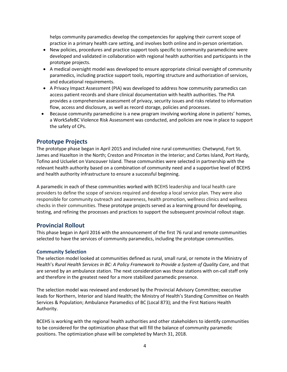helps community paramedics develop the competencies for applying their current scope of practice in a primary health care setting, and involves both online and in-person orientation.

- New policies, procedures and practice support tools specific to community paramedicine were developed and validated in collaboration with regional health authorities and participants in the prototype projects.
- A medical oversight model was developed to ensure appropriate clinical oversight of community paramedics, including practice support tools, reporting structure and authorization of services, and educational requirements.
- A Privacy Impact Assessment (PIA) was developed to address how community paramedics can access patient records and share clinical documentation with health authorities. The PIA provides a comprehensive assessment of privacy, security issues and risks related to information flow, access and disclosure, as well as record storage, policies and processes.
- Because community paramedicine is a new program involving working alone in patients' homes, a WorkSafeBC Violence Risk Assessment was conducted, and policies are now in place to support the safety of CPs.

## **Prototype Projects**

The prototype phase began in April 2015 and included nine rural communities: Chetwynd, Fort St. James and Hazelton in the North; Creston and Princeton in the Interior; and Cortes Island, Port Hardy, Tofino and Ucluelet on Vancouver Island. These communities were selected in partnership with the relevant health authority based on a combination of community need and a supportive level of BCEHS and health authority infrastructure to ensure a successful beginning.

A paramedic in each of these communities worked with BCEHS leadership and local health care providers to define the scope of services required and develop a local service plan. They were also responsible for community outreach and awareness, health promotion, wellness clinics and wellness checks in their communities. These prototype projects served as a learning ground for developing, testing, and refining the processes and practices to support the subsequent provincial rollout stage.

## **Provincial Rollout**

This phase began in April 2016 with the announcement of the first 76 rural and remote communities selected to have the services of community paramedics, including the prototype communities.

#### **Community Selection**

The selection model looked at communities defined as rural, small rural, or remote in the Ministry of Health's *Rural Health Services in BC: A Policy Framework to Provide a System of Quality Care*, and that are served by an ambulance station. The next consideration was those stations with on-call staff only and therefore in the greatest need for a more stabilized paramedic presence.

The selection model was reviewed and endorsed by the Provincial Advisory Committee; executive leads for Northern, Interior and Island Health; the Ministry of Health's Standing Committee on Health Services & Population; Ambulance Paramedics of BC (Local 873); and the First Nations Health Authority.

BCEHS is working with the regional health authorities and other stakeholders to identify communities to be considered for the optimization phase that will fill the balance of community paramedic positions. The optimization phase will be completed by March 31, 2018.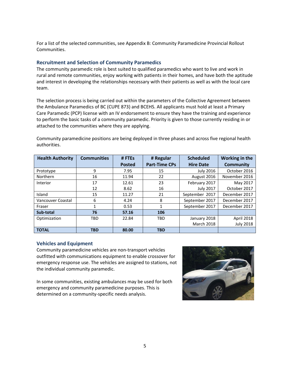For a list of the selected communities, see Appendix B: Community Paramedicine Provincial Rollout Communities.

#### **Recruitment and Selection of Community Paramedics**

The community paramedic role is best suited to qualified paramedics who want to live and work in rural and remote communities, enjoy working with patients in their homes, and have both the aptitude and interest in developing the relationships necessary with their patients as well as with the local care team.

The selection process is being carried out within the parameters of the Collective Agreement between the Ambulance Paramedics of BC (CUPE 873) and BCEHS. All applicants must hold at least a Primary Care Paramedic (PCP) license with an IV endorsement to ensure they have the training and experience to perform the basic tasks of a community paramedic. Priority is given to those currently residing in or attached to the communities where they are applying.

Community paramedicine positions are being deployed in three phases and across five regional health authorities.

| <b>Health Authority</b> | <b>Communities</b> | #FTEs         | # Regular            | <b>Scheduled</b>  | Working in the   |
|-------------------------|--------------------|---------------|----------------------|-------------------|------------------|
|                         |                    | <b>Posted</b> | <b>Part-Time CPs</b> | <b>Hire Date</b>  | <b>Community</b> |
| Prototype               | 9                  | 7.95          | 15                   | <b>July 2016</b>  | October 2016     |
| Northern                | 16                 | 11.94         | 22                   | August 2016       | November 2016    |
| Interior                | 17                 | 12.61         | 23                   | February 2017     | May 2017         |
|                         | 12                 | 8.62          | 16                   | <b>July 2017</b>  | October 2017     |
| Island                  | 15                 | 11.27         | 21                   | September 2017    | December 2017    |
| Vancouver Coastal       | 6                  | 4.24          | 8                    | September 2017    | December 2017    |
| Fraser                  | 1                  | 0.53          |                      | September 2017    | December 2017    |
| Sub-total               | 76                 | 57.16         | 106                  |                   |                  |
| Optimization            | <b>TBD</b>         | 22.84         | <b>TBD</b>           | January 2018      | April 2018       |
|                         |                    |               |                      | <b>March 2018</b> | <b>July 2018</b> |
| <b>TOTAL</b>            | <b>TBD</b>         | 80.00         | <b>TBD</b>           |                   |                  |

#### **Vehicles and Equipment**

Community paramedicine vehicles are non-transport vehicles outfitted with communications equipment to enable crossover for emergency response use. The vehicles are assigned to stations, not the individual community paramedic.

In some communities, existing ambulances may be used for both emergency and community paramedicine purposes. This is determined on a community-specific needs analysis.

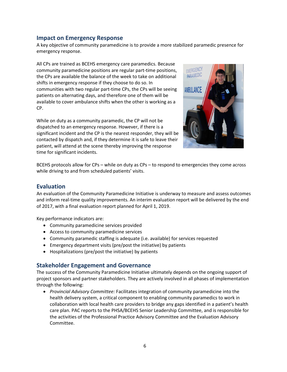## **Impact on Emergency Response**

A key objective of community paramedicine is to provide a more stabilized paramedic presence for emergency response.

All CPs are trained as BCEHS emergency care paramedics. Because community paramedicine positions are regular part-time positions, the CPs are available the balance of the week to take on additional shifts in emergency response if they choose to do so. In communities with two regular part-time CPs, the CPs will be seeing patients on alternating days, and therefore one of them will be available to cover ambulance shifts when the other is working as a CP.

While on duty as a community paramedic, the CP will not be dispatched to an emergency response. However, if there is a significant incident and the CP is the nearest responder, they will be contacted by dispatch and, if they determine it is safe to leave their patient, will attend at the scene thereby improving the response time for significant incidents.



BCEHS protocols allow for CPs – while on duty as CPs – to respond to emergencies they come across while driving to and from scheduled patients' visits.

## **Evaluation**

An evaluation of the Community Paramedicine Initiative is underway to measure and assess outcomes and inform real-time quality improvements. An interim evaluation report will be delivered by the end of 2017, with a final evaluation report planned for April 1, 2019.

Key performance indicators are:

- Community paramedicine services provided
- Access to community paramedicine services
- Community paramedic staffing is adequate (i.e. available) for services requested
- Emergency department visits (pre/post the initiative) by patients
- Hospitalizations (pre/post the initiative) by patients

### **Stakeholder Engagement and Governance**

The success of the Community Paramedicine Initiative ultimately depends on the ongoing support of project sponsors and partner stakeholders. They are actively involved in all phases of implementation through the following:

 *Provincial Advisory Committee:* Facilitates integration of community paramedicine into the health delivery system, a critical component to enabling community paramedics to work in collaboration with local health care providers to bridge any gaps identified in a patient's health care plan. PAC reports to the PHSA/BCEHS Senior Leadership Committee, and is responsible for the activities of the Professional Practice Advisory Committee and the Evaluation Advisory Committee.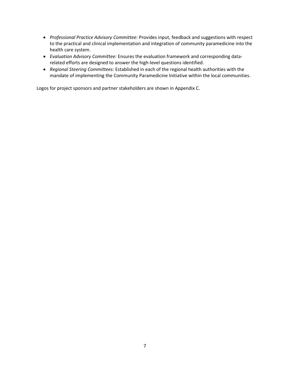- *Professional Practice Advisory Committee:* Provides input, feedback and suggestions with respect to the practical and clinical implementation and integration of community paramedicine into the health care system.
- *Evaluation Advisory Committee:* Ensures the evaluation framework and corresponding datarelated efforts are designed to answer the high-level questions identified.
- *Regional Steering Committees:* Established in each of the regional health authorities with the mandate of implementing the Community Paramedicine Initiative within the local communities.

Logos for project sponsors and partner stakeholders are shown in Appendix C.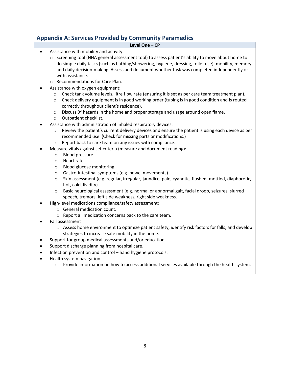# **Appendix A: Services Provided by Community Paramedics**

| Appendix A: Services Provided by Community Paramedics<br>Level One - CP                                                                                                                                                                                                                                                                                                                                          |  |  |  |  |  |
|------------------------------------------------------------------------------------------------------------------------------------------------------------------------------------------------------------------------------------------------------------------------------------------------------------------------------------------------------------------------------------------------------------------|--|--|--|--|--|
| Assistance with mobility and activity:<br>$\bullet$                                                                                                                                                                                                                                                                                                                                                              |  |  |  |  |  |
| Screening tool (NHA general assessment tool) to assess patient's ability to move about home to<br>$\circ$<br>do simple daily tasks (such as bathing/showering, hygiene, dressing, toilet use), mobility, memory<br>and daily decision-making. Assess and document whether task was completed independently or<br>with assistance.                                                                                |  |  |  |  |  |
| o Recommendations for Care Plan.                                                                                                                                                                                                                                                                                                                                                                                 |  |  |  |  |  |
| Assistance with oxygen equipment:<br>Check tank volume levels, litre flow rate (ensuring it is set as per care team treatment plan).<br>$\circ$<br>Check delivery equipment is in good working order (tubing is in good condition and is routed<br>$\circ$<br>correctly throughout client's residence).<br>Discuss 0 <sup>2</sup> hazards in the home and proper storage and usage around open flame.<br>$\circ$ |  |  |  |  |  |
| Outpatient checklist.<br>$\circ$                                                                                                                                                                                                                                                                                                                                                                                 |  |  |  |  |  |
| Assistance with administration of inhaled respiratory devices:<br>Review the patient's current delivery devices and ensure the patient is using each device as per<br>$\circ$<br>recommended use. (Check for missing parts or modifications.)<br>Report back to care team on any issues with compliance.<br>$\circ$                                                                                              |  |  |  |  |  |
| Measure vitals against set criteria (measure and document reading):                                                                                                                                                                                                                                                                                                                                              |  |  |  |  |  |
| <b>Blood pressure</b><br>$\circ$<br>Heart rate<br>$\circ$<br>Blood glucose monitoring<br>$\circ$                                                                                                                                                                                                                                                                                                                 |  |  |  |  |  |
| Gastro-intestinal symptoms (e.g. bowel movements)<br>$\circ$<br>Skin assessment (e.g. regular, irregular, jaundice, pale, cyanotic, flushed, mottled, diaphoretic,<br>$\circ$<br>hot, cold, lividity)                                                                                                                                                                                                            |  |  |  |  |  |
| Basic neurological assessment (e.g. normal or abnormal gait, facial droop, seizures, slurred<br>$\circ$<br>speech, tremors, left side weakness, right side weakness.                                                                                                                                                                                                                                             |  |  |  |  |  |
| High-level medications compliance/safety assessment:                                                                                                                                                                                                                                                                                                                                                             |  |  |  |  |  |
| o General medication count.                                                                                                                                                                                                                                                                                                                                                                                      |  |  |  |  |  |
| o Report all medication concerns back to the care team.                                                                                                                                                                                                                                                                                                                                                          |  |  |  |  |  |
| Fall assessment<br>o Assess home environment to optimize patient safety, identify risk factors for falls, and develop<br>strategies to increase safe mobility in the home.                                                                                                                                                                                                                                       |  |  |  |  |  |
| Support for group medical assessments and/or education.                                                                                                                                                                                                                                                                                                                                                          |  |  |  |  |  |
| Support discharge planning from hospital care.                                                                                                                                                                                                                                                                                                                                                                   |  |  |  |  |  |
| Infection prevention and control - hand hygiene protocols.                                                                                                                                                                                                                                                                                                                                                       |  |  |  |  |  |
| Health system navigation<br>Provide information on how to access additional services available through the health system.<br>$\circ$                                                                                                                                                                                                                                                                             |  |  |  |  |  |
|                                                                                                                                                                                                                                                                                                                                                                                                                  |  |  |  |  |  |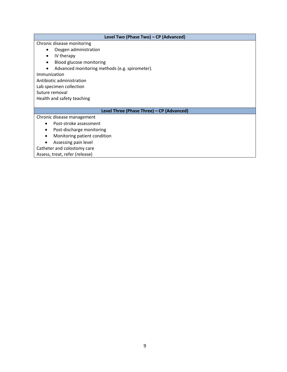**Level Two (Phase Two) – CP (Advanced)** Chronic disease monitoring Oxygen administration • IV therapy • Blood glucose monitoring

Advanced monitoring methods (e.g. spirometer).

Immunization

Antibiotic administration

Lab specimen collection

Suture removal

Health and safety teaching

#### **Level Three (Phase Three) – CP (Advanced)**

Chronic disease management

- Post-stroke assessment
- Post-discharge monitoring
- Monitoring patient condition
- Assessing pain level

Catheter and colostomy care

Assess, treat, refer (release)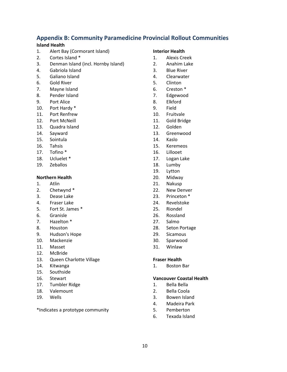## **Appendix B: Community Paramedicine Provincial Rollout Communities**

### **Island Health**

- 1. Alert Bay (Cormorant Island)
- 2. Cortes Island \*
- 3. Denman Island (incl. Hornby Island)
- 4. Gabriola Island
- 5. Galiano Island
- 6. Gold River
- 7. Mayne Island
- 8. Pender Island
- 9. Port Alice
- 10. Port Hardy \*
- 11. Port Renfrew
- 12. Port McNeill
- 13. Quadra Island
- 14. Sayward
- 15. Sointula
- 16. Tahsis
- 17. Tofino \*
- 18. Ucluelet \*
- 19. Zeballos

#### **Northern Health**

- 1. Atlin
- 2. Chetwynd \*
- 3. Dease Lake
- 4. Fraser Lake
- 5. Fort St. James \*
- 6. Granisle
- 7. Hazelton \*
- 8. Houston
- 9. Hudson's Hope
- 10. Mackenzie
- 11. Masset
- 12. McBride
- 13. Queen Charlotte Village
- 14. Kitwanga
- 15. Southside
- 16. Stewart
- 17. Tumbler Ridge
- 18. Valemount
- 19. Wells

\*Indicates a prototype community

#### **Interior Health**

- 1. Alexis Creek
- 2. Anahim Lake
- 3. Blue River
- 4. Clearwater
- 5. Clinton
- 6. Creston \*
- 7. Edgewood
- 8. Elkford
- 9. Field
- 10. Fruitvale
- 11. Gold Bridge
- 12. Golden
- 13. Greenwood
- 14. Kaslo
- 15. Keremeos
- 16. Lillooet
- 17. Logan Lake
- 18. Lumby
- 19. Lytton
- 20. Midway
- 21. Nakusp
- 22. New Denver
- 23. Princeton \*
- 24. Revelstoke
- 25. Riondel
- 26. Rossland
- 27. Salmo
- 28. Seton Portage
- 29. Sicamous
- 30. Sparwood
- 31. Winlaw

#### **Fraser Health**

1. Boston Bar

#### **Vancouver Coastal Health**

- 1. Bella Bella
- 2. Bella Coola
- 3. Bowen Island
- 4. Madeira Park
- 5. Pemberton
- 6. Texada Island